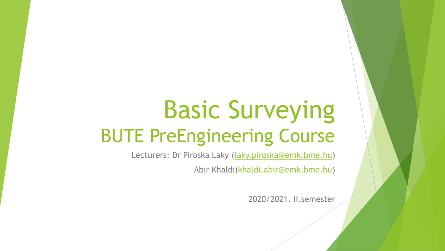# Basic Surveying BUTE PreEngineering Course

Lecturers: Dr Piroska Laky ([laky.piroska@emk.bme.hu](mailto:laky.piroska@emk.bme.hu))

Abir Khaldi[\(khaldi.abir@emk.bme.hu](mailto:khaldi.abir@emk.bme.hu))

2020/2021. II.semester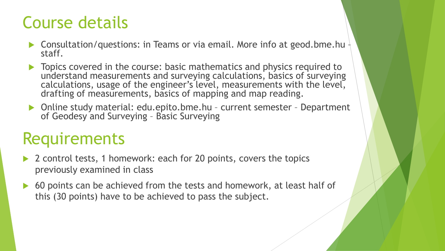### Course details

- **Consultation/questions: in Teams or via email. More info at geod.bme.hu**  $\frac{1}{2}$ staff.
- **Topics covered in the course: basic mathematics and physics required to** understand measurements and surveying calculations, basics of surveying calculations, usage of the engineer's level, measurements with the level, drafting of measurements, basics of mapping and map reading.
- ▶ Online study material: edu.epito.bme.hu current semester Department of Geodesy and Surveying – Basic Surveying

### **Requirements**

- 2 control tests, 1 homework: each for 20 points, covers the topics previously examined in class
- 60 points can be achieved from the tests and homework, at least half of this (30 points) have to be achieved to pass the subject.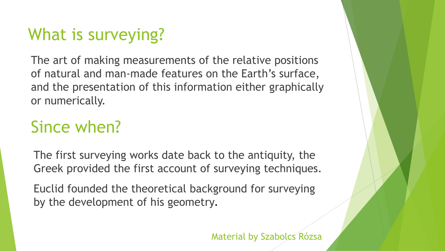# What is surveying?

The art of making measurements of the relative positions of natural and man-made features on the Earth's surface, and the presentation of this information either graphically or numerically.

### Since when?

The first surveying works date back to the antiquity, the Greek provided the first account of surveying techniques.

Euclid founded the theoretical background for surveying by the development of his geometry.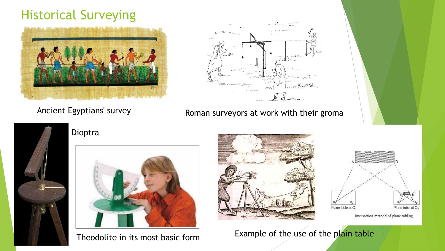### Historical Surveying





Ancient Egyptians' survey **Roman surveyors at work with their groma** 





#### Dioptra



Theodolite in its most basic form





Intersection method of plane tabling

Example of the use of the plain table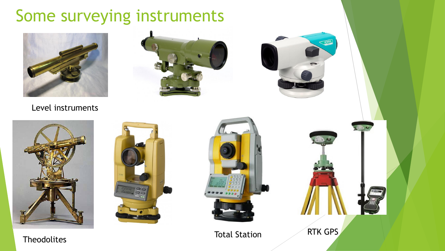### Some surveying instruments







#### Level instruments







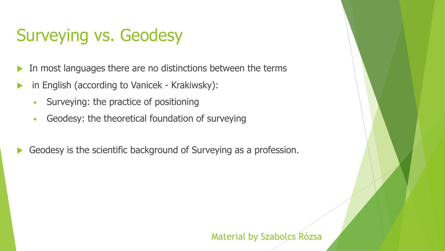## Surveying vs. Geodesy

- In most languages there are no distinctions between the terms
- in English (according to Vanicek Krakiwsky):
	- Surveying: the practice of positioning
	- Geodesy: the theoretical foundation of surveying
- Geodesy is the scientific background of Surveying as a profession.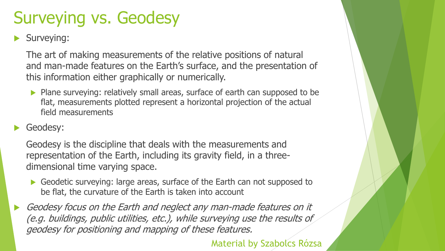# Surveying vs. Geodesy

Surveying:

The art of making measurements of the relative positions of natural and man-made features on the Earth's surface, and the presentation of this information either graphically or numerically.

Plane surveying: relatively small areas, surface of earth can supposed to be flat, measurements plotted represent a horizontal projection of the actual field measurements

#### Geodesy:

Geodesy is the discipline that deals with the measurements and representation of the Earth, including its gravity field, in a threedimensional time varying space.

Geodetic surveying: large areas, surface of the Earth can not supposed to be flat, the curvature of the Earth is taken into account

 Geodesy focus on the Earth and neglect any man-made features on it (e.g. buildings, public utilities, etc.), while surveying use the results of geodesy for positioning and mapping of these features.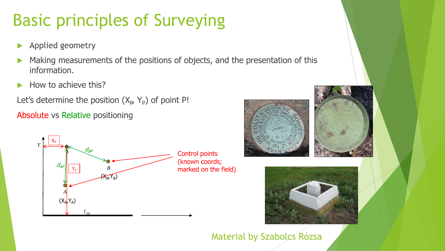# Basic principles of Surveying

- Applied geometry
- Making measurements of the positions of objects, and the presentation of this information.
- How to achieve this?

Let's determine the position  $(X_{p_1}, Y_{p})$  of point P! Absolute vs Relative positioning





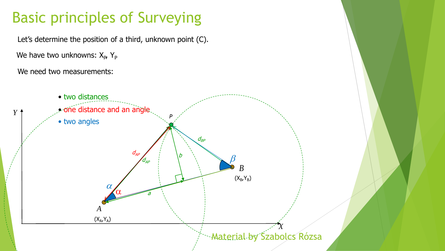### Basic principles of Surveying

Let's determine the position of a third, unknown point (C).

We have two unknowns: X<sub>P</sub>, Y<sub>P</sub>

We need two measurements:

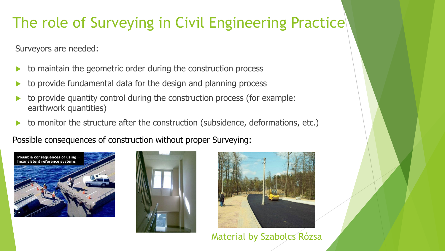### The role of Surveying in Civil Engineering Practice

Surveyors are needed:

- to maintain the geometric order during the construction process
- to provide fundamental data for the design and planning process
- to provide quantity control during the construction process (for example: earthwork quantities)
- to monitor the structure after the construction (subsidence, deformations, etc.)

Possible consequences of construction without proper Surveying:





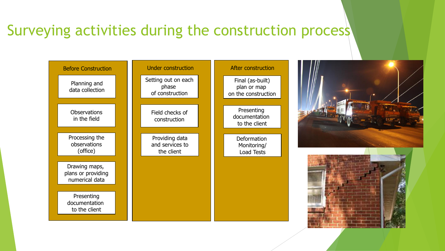### Surveying activities during the construction process